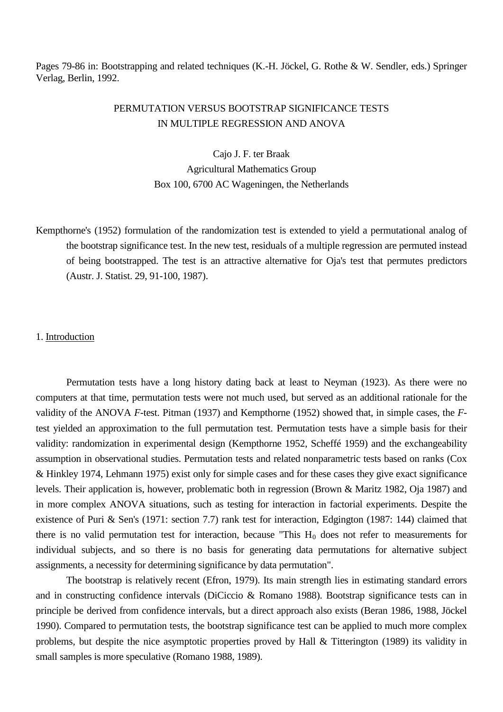Pages 79-86 in: Bootstrapping and related techniques (K.-H. Jöckel, G. Rothe & W. Sendler, eds.) Springer Verlag, Berlin, 1992.

# PERMUTATION VERSUS BOOTSTRAP SIGNIFICANCE TESTS IN MULTIPLE REGRESSION AND ANOVA

Cajo J. F. ter Braak Agricultural Mathematics Group Box 100, 6700 AC Wageningen, the Netherlands

Kempthorne's (1952) formulation of the randomization test is extended to yield a permutational analog of the bootstrap significance test. In the new test, residuals of a multiple regression are permuted instead of being bootstrapped. The test is an attractive alternative for Oja's test that permutes predictors (Austr. J. Statist. 29, 91-100, 1987).

#### 1. Introduction

Permutation tests have a long history dating back at least to Neyman (1923). As there were no computers at that time, permutation tests were not much used, but served as an additional rationale for the validity of the ANOVA *F*-test. Pitman (1937) and Kempthorne (1952) showed that, in simple cases, the *F*test yielded an approximation to the full permutation test. Permutation tests have a simple basis for their validity: randomization in experimental design (Kempthorne 1952, Scheffé 1959) and the exchangeability assumption in observational studies. Permutation tests and related nonparametric tests based on ranks (Cox & Hinkley 1974, Lehmann 1975) exist only for simple cases and for these cases they give exact significance levels. Their application is, however, problematic both in regression (Brown & Maritz 1982, Oja 1987) and in more complex ANOVA situations, such as testing for interaction in factorial experiments. Despite the existence of Puri & Sen's (1971: section 7.7) rank test for interaction, Edgington (1987: 144) claimed that there is no valid permutation test for interaction, because "This  $H_0$  does not refer to measurements for individual subjects, and so there is no basis for generating data permutations for alternative subject assignments, a necessity for determining significance by data permutation".

The bootstrap is relatively recent (Efron, 1979). Its main strength lies in estimating standard errors and in constructing confidence intervals (DiCiccio & Romano 1988). Bootstrap significance tests can in principle be derived from confidence intervals, but a direct approach also exists (Beran 1986, 1988, Jöckel 1990). Compared to permutation tests, the bootstrap significance test can be applied to much more complex problems, but despite the nice asymptotic properties proved by Hall & Titterington (1989) its validity in small samples is more speculative (Romano 1988, 1989).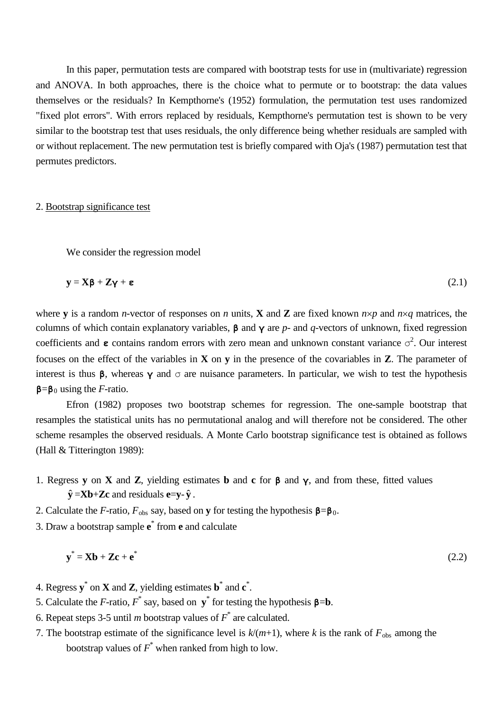In this paper, permutation tests are compared with bootstrap tests for use in (multivariate) regression and ANOVA. In both approaches, there is the choice what to permute or to bootstrap: the data values themselves or the residuals? In Kempthorne's (1952) formulation, the permutation test uses randomized "fixed plot errors". With errors replaced by residuals, Kempthorne's permutation test is shown to be very similar to the bootstrap test that uses residuals, the only difference being whether residuals are sampled with or without replacement. The new permutation test is briefly compared with Oja's (1987) permutation test that permutes predictors.

### 2. Bootstrap significance test

We consider the regression model

$$
y = X\beta + Z\gamma + \epsilon
$$
 (2.1)

where **y** is a random *n*-vector of responses on *n* units, **X** and **Z** are fixed known *n*×*p* and *n*×*q* matrices, the columns of which contain explanatory variables, **β** and **γ** are *p*- and *q*-vectors of unknown, fixed regression coefficients and **ε** contains random errors with zero mean and unknown constant variance  $\sigma^2$ . Our interest focuses on the effect of the variables in **X** on **y** in the presence of the covariables in **Z**. The parameter of interest is thus **β**, whereas **γ** and  $\sigma$  are nuisance parameters. In particular, we wish to test the hypothesis **β**=**β**<sup>0</sup> using the *F*-ratio.

Efron (1982) proposes two bootstrap schemes for regression. The one-sample bootstrap that resamples the statistical units has no permutational analog and will therefore not be considered. The other scheme resamples the observed residuals. A Monte Carlo bootstrap significance test is obtained as follows (Hall & Titterington 1989):

- 1. Regress **y** on **X** and **Z**, yielding estimates **b** and **c** for **β** and **γ**, and from these, fitted values  $\hat{\mathbf{y}} = \mathbf{X}\mathbf{b} + \mathbf{Z}\mathbf{c}$  and residuals **e**= $\mathbf{y}$ - $\hat{\mathbf{y}}$ .
- 2. Calculate the *F*-ratio,  $F_{obs}$  say, based on **y** for testing the hypothesis  $\beta = \beta_0$ .
- 3. Draw a bootstrap sample **e** \* from **e** and calculate

$$
\mathbf{y}^* = \mathbf{X}\mathbf{b} + \mathbf{Z}\mathbf{c} + \mathbf{e}^* \tag{2.2}
$$

- 4. Regress **y**\* on **X** and **Z**, yielding estimates **b**\* and **c** \* .
- 5. Calculate the *F*-ratio,  $F^*$  say, based on  $y^*$  for testing the hypothesis  $\beta = b$ .
- 6. Repeat steps 3-5 until *m* bootstrap values of *F*\* are calculated.
- 7. The bootstrap estimate of the significance level is  $k/(m+1)$ , where k is the rank of  $F_{obs}$  among the bootstrap values of *F*\* when ranked from high to low.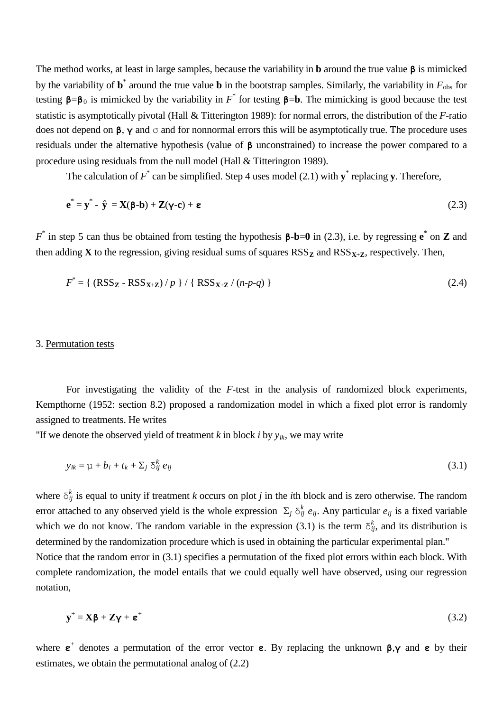The method works, at least in large samples, because the variability in **b** around the true value **β** is mimicked by the variability of  $\mathbf{b}^*$  around the true value **b** in the bootstrap samples. Similarly, the variability in  $F_{obs}$  for testing  $\mathbf{B} = \mathbf{B}_0$  is mimicked by the variability in  $F^*$  for testing  $\mathbf{B} = \mathbf{b}$ . The mimicking is good because the test statistic is asymptotically pivotal (Hall & Titterington 1989): for normal errors, the distribution of the *F*-ratio does not depend on  $\beta$ ,  $\gamma$  and  $\sigma$  and for nonnormal errors this will be asymptotically true. The procedure uses residuals under the alternative hypothesis (value of **β** unconstrained) to increase the power compared to a procedure using residuals from the null model (Hall & Titterington 1989).

The calculation of  $F^*$  can be simplified. Step 4 uses model (2.1) with **y**<sup>\*</sup> replacing **y**. Therefore,

$$
\mathbf{e}^* = \mathbf{y}^* - \hat{\mathbf{y}} = \mathbf{X}(\mathbf{\beta} - \mathbf{b}) + \mathbf{Z}(\mathbf{\gamma} - \mathbf{c}) + \mathbf{\varepsilon}
$$
 (2.3)

*F*\* in step 5 can thus be obtained from testing the hypothesis **β**-**b**=**0** in (2.3), i.e. by regressing **e** \* on **Z** and then adding **X** to the regression, giving residual sums of squares  $RSS_{\mathbf{Z}}$  and  $RSS_{\mathbf{X}+\mathbf{Z}}$ , respectively. Then,

$$
F^* = \{ (RSS_{\mathbf{Z}} - RSS_{\mathbf{X} + \mathbf{Z}}) / p \} / \{ RSS_{\mathbf{X} + \mathbf{Z}} / (n - p - q) \}
$$
 (2.4)

#### 3. Permutation tests

For investigating the validity of the *F*-test in the analysis of randomized block experiments, Kempthorne (1952: section 8.2) proposed a randomization model in which a fixed plot error is randomly assigned to treatments. He writes

"If we denote the observed yield of treatment  $k$  in block  $i$  by  $y_{ik}$ , we may write

$$
y_{ik} = \mu + b_i + t_k + \sum_j \delta_{ij}^k e_{ij}
$$
 (3.1)

where  $\delta_{ij}^k$  is equal to unity if treatment *k* occurs on plot *j* in the *i*th block and is zero otherwise. The random error attached to any observed yield is the whole expression  $\Sigma_j \delta^k_{ij} e_{ij}$ . Any particular  $e_{ij}$  is a fixed variable which we do not know. The random variable in the expression (3.1) is the term  $\delta_{ij}^k$ , and its distribution is determined by the randomization procedure which is used in obtaining the particular experimental plan." Notice that the random error in (3.1) specifies a permutation of the fixed plot errors within each block. With complete randomization, the model entails that we could equally well have observed, using our regression notation,

$$
\mathbf{y}^+ = \mathbf{X}\boldsymbol{\beta} + \mathbf{Z}\boldsymbol{\gamma} + \boldsymbol{\epsilon}^+ \tag{3.2}
$$

where **ε**<sup>+</sup> denotes a permutation of the error vector **ε**. By replacing the unknown **β**,**γ** and **ε** by their estimates, we obtain the permutational analog of (2.2)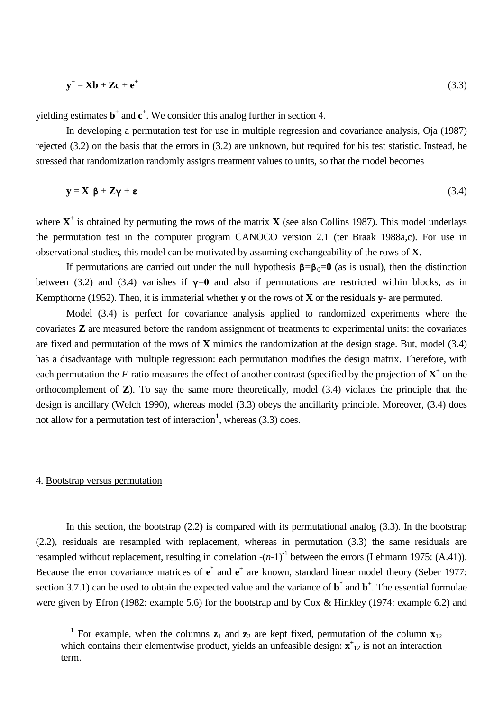$$
\mathbf{y}^+ = \mathbf{X}\mathbf{b} + \mathbf{Z}\mathbf{c} + \mathbf{e}^+ \tag{3.3}
$$

yielding estimates **b**<sup>+</sup> and **c**<sup>+</sup>. We consider this analog further in section 4.

In developing a permutation test for use in multiple regression and covariance analysis, Oja (1987) rejected (3.2) on the basis that the errors in (3.2) are unknown, but required for his test statistic. Instead, he stressed that randomization randomly assigns treatment values to units, so that the model becomes

$$
y = X^{\dagger} \beta + Z \gamma + \epsilon \tag{3.4}
$$

where  $X^+$  is obtained by permuting the rows of the matrix  $X$  (see also Collins 1987). This model underlays the permutation test in the computer program CANOCO version 2.1 (ter Braak 1988a,c). For use in observational studies, this model can be motivated by assuming exchangeability of the rows of **X**.

If permutations are carried out under the null hypothesis  $\beta = \beta_0 = 0$  (as is usual), then the distinction between (3.2) and (3.4) vanishes if  $y=0$  and also if permutations are restricted within blocks, as in Kempthorne (1952). Then, it is immaterial whether **y** or the rows of **X** or the residuals **y**- are permuted.

Model (3.4) is perfect for covariance analysis applied to randomized experiments where the covariates **Z** are measured before the random assignment of treatments to experimental units: the covariates are fixed and permutation of the rows of **X** mimics the randomization at the design stage. But, model (3.4) has a disadvantage with multiple regression: each permutation modifies the design matrix. Therefore, with each permutation the *F*-ratio measures the effect of another contrast (specified by the projection of  $X^+$  on the orthocomplement of **Z**). To say the same more theoretically, model (3.4) violates the principle that the design is ancillary (Welch 1990), whereas model (3.3) obeys the ancillarity principle. Moreover, (3.4) does not allow for a permutation test of interaction<sup>[1](#page-3-0)</sup>, whereas  $(3.3)$  does.

# 4. Bootstrap versus permutation

<span id="page-3-0"></span> $\overline{a}$ 

In this section, the bootstrap  $(2.2)$  is compared with its permutational analog  $(3.3)$ . In the bootstrap (2.2), residuals are resampled with replacement, whereas in permutation (3.3) the same residuals are resampled without replacement, resulting in correlation  $-(n-1)^{-1}$  between the errors (Lehmann 1975: (A.41)). Because the error covariance matrices of  $e^*$  and  $e^+$  are known, standard linear model theory (Seber 1977: section 3.7.1) can be used to obtain the expected value and the variance of  $\mathbf{b}^*$  and  $\mathbf{b}^*$ . The essential formulae were given by Efron (1982: example 5.6) for the bootstrap and by Cox & Hinkley (1974: example 6.2) and

<sup>&</sup>lt;sup>1</sup> For example, when the columns  $z_1$  and  $z_2$  are kept fixed, permutation of the column  $x_{12}$ which contains their elementwise product, yields an unfeasible design:  $\mathbf{x}^+$ <sub>12</sub> is not an interaction term.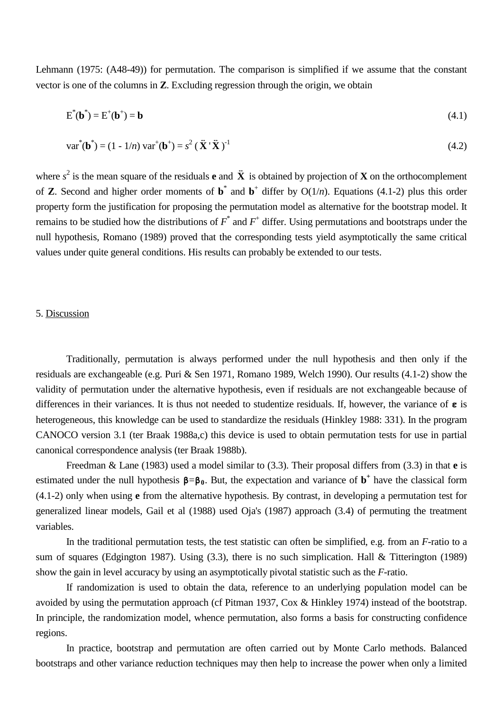Lehmann (1975: (A48-49)) for permutation. The comparison is simplified if we assume that the constant vector is one of the columns in **Z**. Excluding regression through the origin, we obtain

$$
E^*(\mathbf{b}^*) = E^+(\mathbf{b}^+) = \mathbf{b} \tag{4.1}
$$

$$
var^*(\mathbf{b}^*) = (1 - 1/n) var^+(\mathbf{b}^+) = s^2 (\mathbf{\vec{X}}^* \mathbf{\vec{X}})^{-1}
$$
(4.2)

where  $s^2$  is the mean square of the residuals **e** and  $\ddot{\textbf{X}}$  is obtained by projection of **X** on the orthocomplement of **Z**. Second and higher order moments of  $\mathbf{b}^*$  and  $\mathbf{b}^+$  differ by  $O(1/n)$ . Equations (4.1-2) plus this order property form the justification for proposing the permutation model as alternative for the bootstrap model. It remains to be studied how the distributions of *F*\* and *F*<sup>+</sup> differ. Using permutations and bootstraps under the null hypothesis, Romano (1989) proved that the corresponding tests yield asymptotically the same critical values under quite general conditions. His results can probably be extended to our tests.

## 5. Discussion

Traditionally, permutation is always performed under the null hypothesis and then only if the residuals are exchangeable (e.g. Puri & Sen 1971, Romano 1989, Welch 1990). Our results (4.1-2) show the validity of permutation under the alternative hypothesis, even if residuals are not exchangeable because of differences in their variances. It is thus not needed to studentize residuals. If, however, the variance of **ε** is heterogeneous, this knowledge can be used to standardize the residuals (Hinkley 1988: 331). In the program CANOCO version 3.1 (ter Braak 1988a,c) this device is used to obtain permutation tests for use in partial canonical correspondence analysis (ter Braak 1988b).

Freedman & Lane (1983) used a model similar to (3.3). Their proposal differs from (3.3) in that **e** is estimated under the null hypothesis  $\beta = \beta_0$ . But, the expectation and variance of  $\mathbf{b}^+$  have the classical form (4.1-2) only when using **e** from the alternative hypothesis. By contrast, in developing a permutation test for generalized linear models, Gail et al (1988) used Oja's (1987) approach (3.4) of permuting the treatment variables.

In the traditional permutation tests, the test statistic can often be simplified, e.g. from an *F*-ratio to a sum of squares (Edgington 1987). Using (3.3), there is no such simplication. Hall & Titterington (1989) show the gain in level accuracy by using an asymptotically pivotal statistic such as the *F*-ratio.

If randomization is used to obtain the data, reference to an underlying population model can be avoided by using the permutation approach (cf Pitman 1937, Cox & Hinkley 1974) instead of the bootstrap. In principle, the randomization model, whence permutation, also forms a basis for constructing confidence regions.

In practice, bootstrap and permutation are often carried out by Monte Carlo methods. Balanced bootstraps and other variance reduction techniques may then help to increase the power when only a limited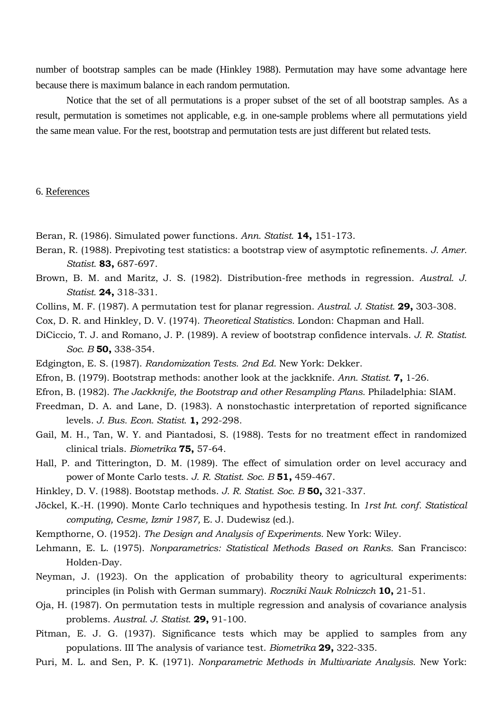number of bootstrap samples can be made (Hinkley 1988). Permutation may have some advantage here because there is maximum balance in each random permutation.

Notice that the set of all permutations is a proper subset of the set of all bootstrap samples. As a result, permutation is sometimes not applicable, e.g. in one-sample problems where all permutations yield the same mean value. For the rest, bootstrap and permutation tests are just different but related tests.

# 6. References

- Beran, R. (1986). Simulated power functions. *Ann. Statist.* **14,** 151-173.
- Beran, R. (1988). Prepivoting test statistics: a bootstrap view of asymptotic refinements. *J. Amer. Statist.* **83,** 687-697.
- Brown, B. M. and Maritz, J. S. (1982). Distribution-free methods in regression. *Austral. J. Statist.* **24,** 318-331.
- Collins, M. F. (1987). A permutation test for planar regression. *Austral. J. Statist.* **29,** 303-308.
- Cox, D. R. and Hinkley, D. V. (1974). *Theoretical Statistics.* London: Chapman and Hall.
- DiCiccio, T. J. and Romano, J. P. (1989). A review of bootstrap confidence intervals. *J. R. Statist. Soc. B* **50,** 338-354.
- Edgington, E. S. (1987). *Randomization Tests. 2nd Ed.* New York: Dekker.
- Efron, B. (1979). Bootstrap methods: another look at the jackknife. *Ann. Statist.* **7,** 1-26.
- Efron, B. (1982). *The Jackknife, the Bootstrap and other Resampling Plans.* Philadelphia: SIAM.
- Freedman, D. A. and Lane, D. (1983). A nonstochastic interpretation of reported significance levels. *J. Bus. Econ. Statist.* **1,** 292-298.
- Gail, M. H., Tan, W. Y. and Piantadosi, S. (1988). Tests for no treatment effect in randomized clinical trials. *Biometrika* **75,** 57-64.
- Hall, P. and Titterington, D. M. (1989). The effect of simulation order on level accuracy and power of Monte Carlo tests. *J. R. Statist. Soc. B* **51,** 459-467.
- Hinkley, D. V. (1988). Bootstap methods. *J. R. Statist. Soc. B* **50,** 321-337.
- Jöckel, K.-H. (1990). Monte Carlo techniques and hypothesis testing. In *1rst Int. conf. Statistical computing, Cesme, Izmir 1987,* E. J. Dudewisz (ed.).
- Kempthorne, O. (1952). *The Design and Analysis of Experiments.* New York: Wiley.
- Lehmann, E. L. (1975). *Nonparametrics: Statistical Methods Based on Ranks.* San Francisco: Holden-Day.
- Neyman, J. (1923). On the application of probability theory to agricultural experiments: principles (in Polish with German summary). *Roczniki Nauk Rolniczch* **10,** 21-51.
- Oja, H. (1987). On permutation tests in multiple regression and analysis of covariance analysis problems. *Austral. J. Statist.* **29,** 91-100.
- Pitman, E. J. G. (1937). Significance tests which may be applied to samples from any populations. III The analysis of variance test. *Biometrika* **29,** 322-335.
- Puri, M. L. and Sen, P. K. (1971). *Nonparametric Methods in Multivariate Analysis.* New York: